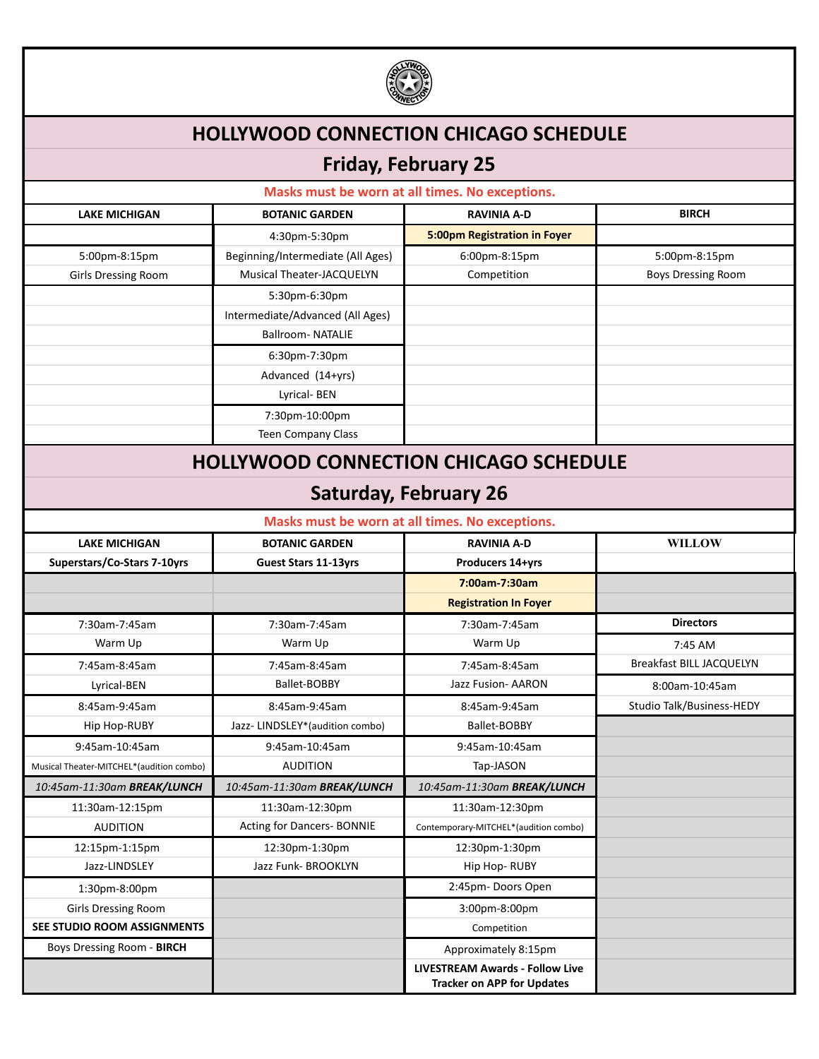

## **HOLLYWOOD CONNECTION CHICAGO SCHEDULE**

## **Friday, February 25**

| Masks must be worn at all times. No exceptions. |                                   |                                                                             |                                 |  |
|-------------------------------------------------|-----------------------------------|-----------------------------------------------------------------------------|---------------------------------|--|
| <b>LAKE MICHIGAN</b>                            | <b>BOTANIC GARDEN</b>             | <b>RAVINIA A-D</b>                                                          | <b>BIRCH</b>                    |  |
|                                                 | 4:30pm-5:30pm                     | 5:00pm Registration in Foyer                                                |                                 |  |
| 5:00pm-8:15pm                                   | Beginning/Intermediate (All Ages) | 6:00pm-8:15pm                                                               | 5:00pm-8:15pm                   |  |
| <b>Girls Dressing Room</b>                      | Musical Theater-JACQUELYN         | Competition                                                                 | <b>Boys Dressing Room</b>       |  |
|                                                 | 5:30pm-6:30pm                     |                                                                             |                                 |  |
|                                                 | Intermediate/Advanced (All Ages)  |                                                                             |                                 |  |
|                                                 | <b>Ballroom-NATALIE</b>           |                                                                             |                                 |  |
|                                                 | 6:30pm-7:30pm                     |                                                                             |                                 |  |
|                                                 | Advanced (14+yrs)                 |                                                                             |                                 |  |
|                                                 | Lyrical-BEN                       |                                                                             |                                 |  |
|                                                 | 7:30pm-10:00pm                    |                                                                             |                                 |  |
|                                                 | Teen Company Class                |                                                                             |                                 |  |
| <b>HOLLYWOOD CONNECTION CHICAGO SCHEDULE</b>    |                                   |                                                                             |                                 |  |
| <b>Saturday, February 26</b>                    |                                   |                                                                             |                                 |  |
|                                                 |                                   | Masks must be worn at all times. No exceptions.                             |                                 |  |
| <b>LAKE MICHIGAN</b>                            | <b>BOTANIC GARDEN</b>             | <b>RAVINIA A-D</b>                                                          | <b>WILLOW</b>                   |  |
| Superstars/Co-Stars 7-10yrs                     | <b>Guest Stars 11-13yrs</b>       | Producers 14+yrs                                                            |                                 |  |
|                                                 |                                   | 7:00am-7:30am                                                               |                                 |  |
|                                                 |                                   | <b>Registration In Foyer</b>                                                |                                 |  |
| 7:30am-7:45am                                   | 7:30am-7:45am                     | 7:30am-7:45am                                                               | <b>Directors</b>                |  |
| Warm Up                                         | Warm Up                           | Warm Up                                                                     | 7:45 AM                         |  |
| 7:45am-8:45am                                   | 7:45am-8:45am                     | 7:45am-8:45am                                                               | <b>Breakfast BILL JACQUELYN</b> |  |
| Lyrical-BEN                                     | Ballet-BOBBY                      | Jazz Fusion- AARON                                                          | 8:00am-10:45am                  |  |
| 8:45am-9:45am                                   | 8:45am-9:45am                     | 8:45am-9:45am                                                               | Studio Talk/Business-HEDY       |  |
| Hip Hop-RUBY                                    | Jazz-LINDSLEY*(audition combo)    | Ballet-BOBBY                                                                |                                 |  |
| 9:45am-10:45am                                  | 9:45am-10:45am                    | 9:45am-10:45am                                                              |                                 |  |
| Musical Theater-MITCHEL*(audition combo)        | <b>AUDITION</b>                   | Tap-JASON                                                                   |                                 |  |
| 10:45am-11:30am BREAK/LUNCH                     | 10:45am-11:30am BREAK/LUNCH       | 10:45am-11:30am BREAK/LUNCH                                                 |                                 |  |
| 11:30am-12:15pm                                 | 11:30am-12:30pm                   | 11:30am-12:30pm                                                             |                                 |  |
| <b>AUDITION</b>                                 | Acting for Dancers- BONNIE        | Contemporary-MITCHEL*(audition combo)                                       |                                 |  |
| 12:15pm-1:15pm                                  | 12:30pm-1:30pm                    | 12:30pm-1:30pm                                                              |                                 |  |
| Jazz-LINDSLEY                                   | Jazz Funk- BROOKLYN               | Hip Hop-RUBY                                                                |                                 |  |
| 1:30pm-8:00pm                                   |                                   | 2:45pm-Doors Open                                                           |                                 |  |
| <b>Girls Dressing Room</b>                      |                                   | 3:00pm-8:00pm                                                               |                                 |  |
| SEE STUDIO ROOM ASSIGNMENTS                     |                                   | Competition                                                                 |                                 |  |
| Boys Dressing Room - BIRCH                      |                                   | Approximately 8:15pm                                                        |                                 |  |
|                                                 |                                   | <b>LIVESTREAM Awards - Follow Live</b><br><b>Tracker on APP for Updates</b> |                                 |  |